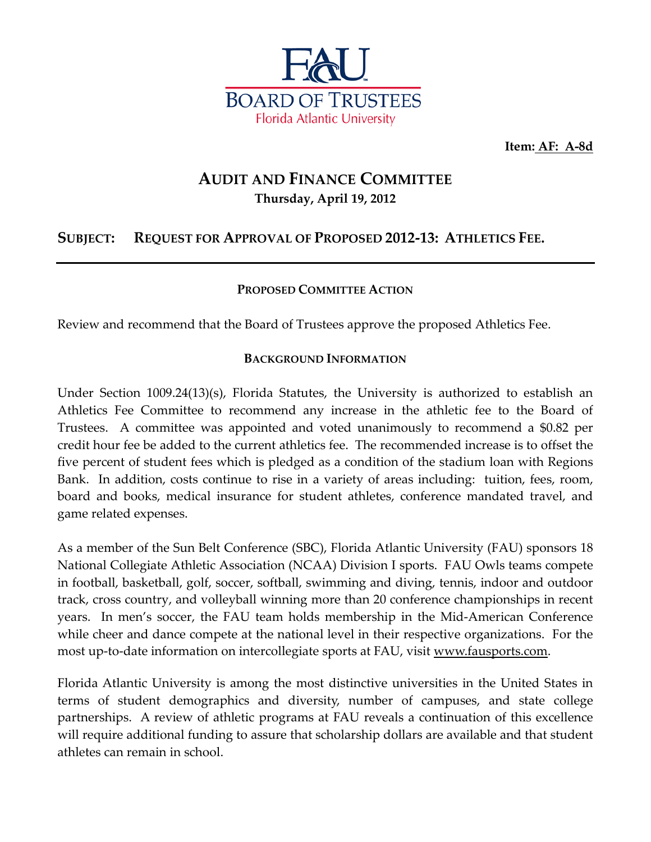

**Item: AF: A-8d**

### **AUDIT AND FINANCE COMMITTEE Thursday, April 19, 2012**

### **SUBJECT: REQUEST FOR APPROVAL OF PROPOSED 2012-13: ATHLETICS FEE.**

### **PROPOSED COMMITTEE ACTION**

Review and recommend that the Board of Trustees approve the proposed Athletics Fee.

### **BACKGROUND INFORMATION**

Under Section 1009.24(13)(s), Florida Statutes, the University is authorized to establish an Athletics Fee Committee to recommend any increase in the athletic fee to the Board of Trustees. A committee was appointed and voted unanimously to recommend a \$0.82 per credit hour fee be added to the current athletics fee. The recommended increase is to offset the five percent of student fees which is pledged as a condition of the stadium loan with Regions Bank. In addition, costs continue to rise in a variety of areas including: tuition, fees, room, board and books, medical insurance for student athletes, conference mandated travel, and game related expenses.

As a member of the Sun Belt Conference (SBC), Florida Atlantic University (FAU) sponsors 18 National Collegiate Athletic Association (NCAA) Division I sports. FAU Owls teams compete in football, basketball, golf, soccer, softball, swimming and diving, tennis, indoor and outdoor track, cross country, and volleyball winning more than 20 conference championships in recent years. In men's soccer, the FAU team holds membership in the Mid-American Conference while cheer and dance compete at the national level in their respective organizations. For the most up-to-date information on intercollegiate sports at FAU, visit [www.fausports.com.](http://www.fausports.com/)

Florida Atlantic University is among the most distinctive universities in the United States in terms of student demographics and diversity, number of campuses, and state college partnerships. A review of athletic programs at FAU reveals a continuation of this excellence will require additional funding to assure that scholarship dollars are available and that student athletes can remain in school.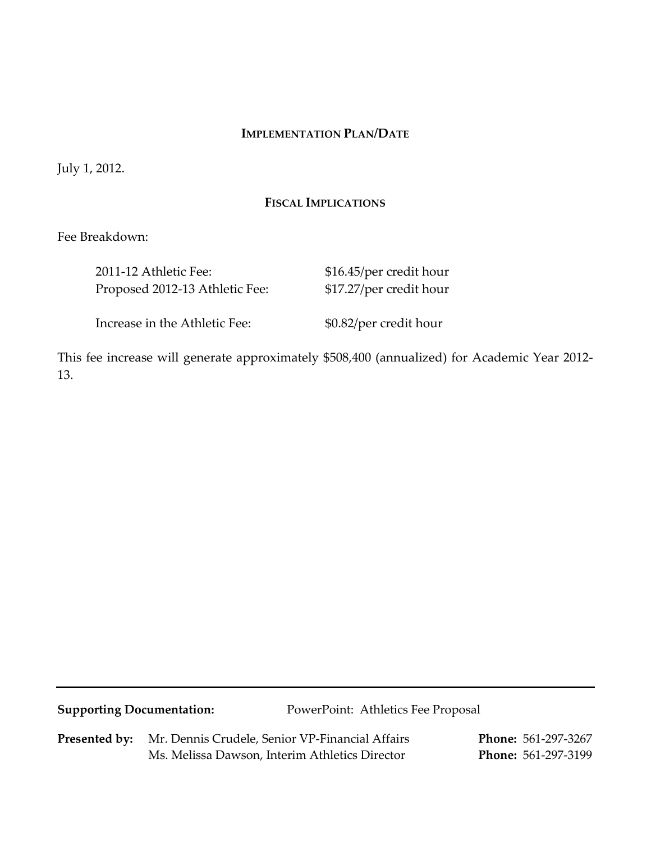#### **IMPLEMENTATION PLAN/DATE**

July 1, 2012.

#### **FISCAL IMPLICATIONS**

Fee Breakdown:

| 2011-12 Athletic Fee:          | \$16.45/per credit hour |
|--------------------------------|-------------------------|
| Proposed 2012-13 Athletic Fee: | \$17.27/per credit hour |
| Increase in the Athletic Fee:  | \$0.82/per credit hour  |

This fee increase will generate approximately \$508,400 (annualized) for Academic Year 2012- 13.

**Supporting Documentation:** PowerPoint: Athletics Fee Proposal

**Presented by:** Mr. Dennis Crudele, Senior VP-Financial Affairs **Phone:** 561-297-3267 Ms. Melissa Dawson, Interim Athletics Director **Phone:** 561-297-3199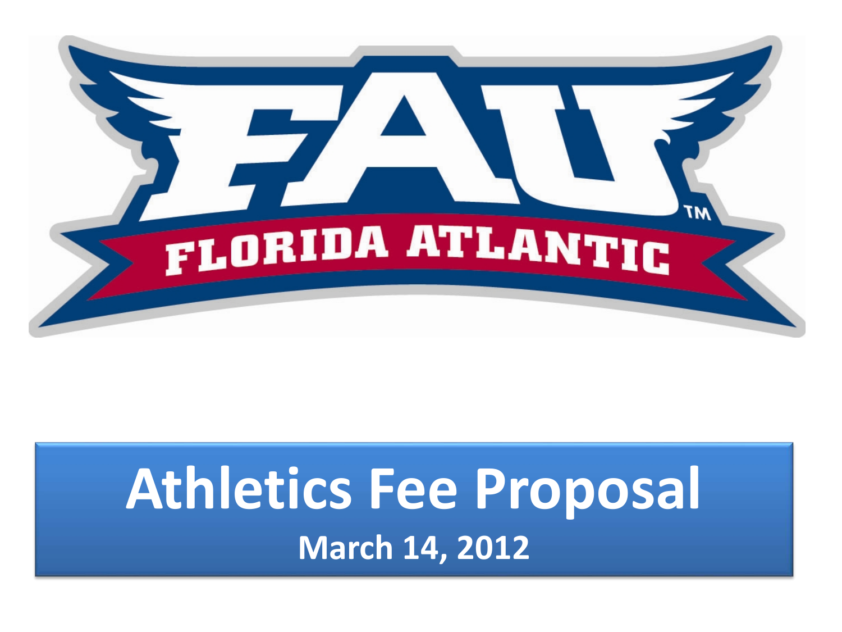

# **Athletics Fee Proposal March 14, 2012**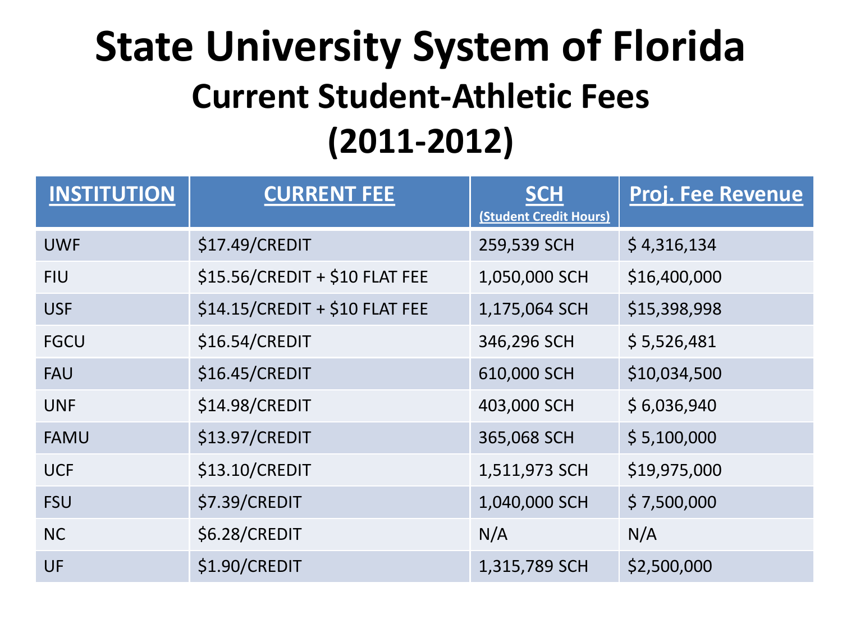## **State University System of Florida Current Student-Athletic Fees (2011-2012)**

| <b>INSTITUTION</b> | <b>CURRENT FEE</b>             | <b>SCH</b><br>(Student Credit Hours) | <b>Proj. Fee Revenue</b> |
|--------------------|--------------------------------|--------------------------------------|--------------------------|
| <b>UWF</b>         | \$17.49/CREDIT                 | 259,539 SCH                          | \$4,316,134              |
| <b>FIU</b>         | \$15.56/CREDIT + \$10 FLAT FEE | 1,050,000 SCH                        | \$16,400,000             |
| <b>USF</b>         | \$14.15/CREDIT + \$10 FLAT FEE | 1,175,064 SCH                        | \$15,398,998             |
| <b>FGCU</b>        | \$16.54/CREDIT                 | 346,296 SCH                          | \$5,526,481              |
| <b>FAU</b>         | \$16.45/CREDIT                 | 610,000 SCH                          | \$10,034,500             |
| <b>UNF</b>         | \$14.98/CREDIT                 | 403,000 SCH                          | \$6,036,940              |
| <b>FAMU</b>        | \$13.97/CREDIT                 | 365,068 SCH                          | \$5,100,000              |
| <b>UCF</b>         | \$13.10/CREDIT                 | 1,511,973 SCH                        | \$19,975,000             |
| <b>FSU</b>         | \$7.39/CREDIT                  | 1,040,000 SCH                        | \$7,500,000              |
| <b>NC</b>          | \$6.28/CREDIT                  | N/A                                  | N/A                      |
| UF                 | \$1.90/CREDIT                  | 1,315,789 SCH                        | \$2,500,000              |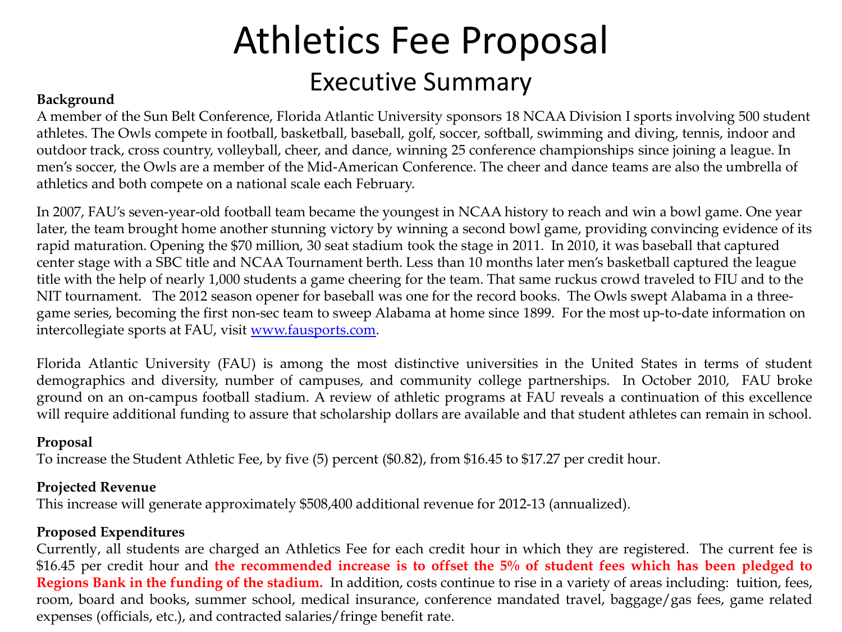### Athletics Fee Proposal Background **Background**

A member of the Sun Belt Conference, Florida Atlantic University sponsors 18 NCAA Division I sports involving 500 student athletes. The Owls compete in football, basketball, baseball, golf, soccer, softball, swimming and diving, tennis, indoor and outdoor track, cross country, volleyball, cheer, and dance, winning 25 conference championships since joining a league. In men's soccer, the Owls are a member of the Mid-American Conference. The cheer and dance teams are also the umbrella of athletics and both compete on a national scale each February.

In 2007, FAU's seven-year-old football team became the youngest in NCAA history to reach and win a bowl game. One year later, the team brought home another stunning victory by winning a second bowl game, providing convincing evidence of its rapid maturation. Opening the \$70 million, 30 seat stadium took the stage in 2011. In 2010, it was baseball that captured center stage with a SBC title and NCAA Tournament berth. Less than 10 months later men's basketball captured the league title with the help of nearly 1,000 students a game cheering for the team. That same ruckus crowd traveled to FIU and to the NIT tournament. The 2012 season opener for baseball was one for the record books. The Owls swept Alabama in a threegame series, becoming the first non-sec team to sweep Alabama at home since 1899. For the most up-to-date information on intercollegiate sports at FAU, visit [www.fausports.com](http://www.fausports.com/).

Florida Atlantic University (FAU) is among the most distinctive universities in the United States in terms of student demographics and diversity, number of campuses, and community college partnerships. In October 2010, FAU broke ground on an on-campus football stadium. A review of athletic programs at FAU reveals a continuation of this excellence will require additional funding to assure that scholarship dollars are available and that student athletes can remain in school.

### **Proposal**

To increase the Student Athletic Fee, by five (5) percent (\$0.82), from \$16.45 to \$17.27 per credit hour.

### **Projected Revenue**

This increase will generate approximately \$508,400 additional revenue for 2012-13 (annualized).

### **Proposed Expenditures**

Currently, all students are charged an Athletics Fee for each credit hour in which they are registered. The current fee is \$16.45 per credit hour and the recommended increase is to offset the 5% of student fees which has been pledged to **Regions Bank in the funding of the stadium.** In addition, costs continue to rise in a variety of areas including: tuition, fees, room, board and books, summer school, medical insurance, conference mandated travel, baggage/gas fees, game related expenses (officials, etc.), and contracted salaries/fringe benefit rate.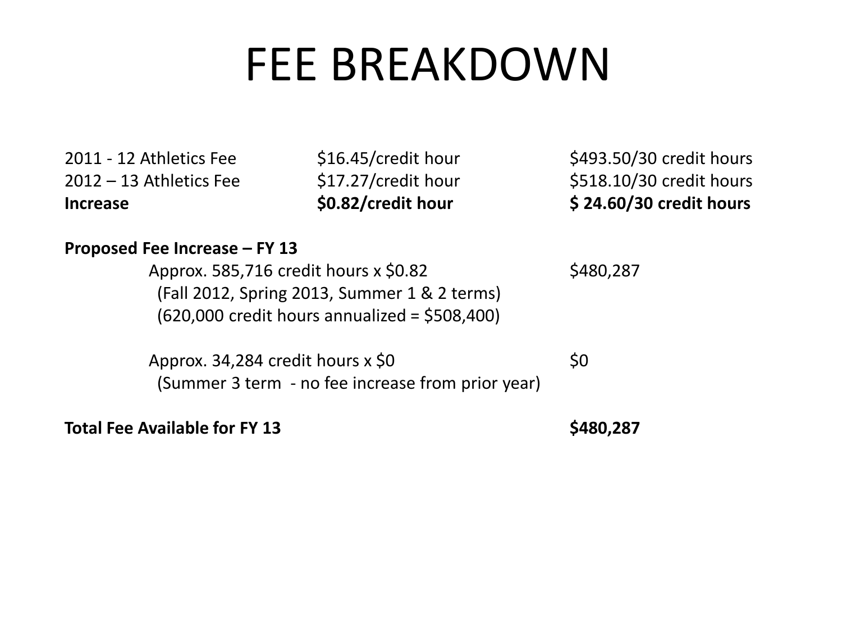# FEE BREAKDOWN

2011 - 12 Athletics Fee  $$16.45/c$ redit hour \$493.50/30 credit hours  $2012 - 13$  Athletics Fee  $$17.27/c$ redit hour  $$518.10/30$  credit hours **Increase \$0.82/credit hour \$ 24.60/30 credit hours**

### **Proposed Fee Increase – FY 13**

Approx. 585,716 credit hours x \$0.82 \$480,287 (Fall 2012, Spring 2013, Summer 1 & 2 terms) (620,000 credit hours annualized = \$508,400)

Approx. 34,284 credit hours  $x$  \$0  $\leq 0$ (Summer 3 term - no fee increase from prior year)

Total Fee Available for FY 13 **\$480,287**